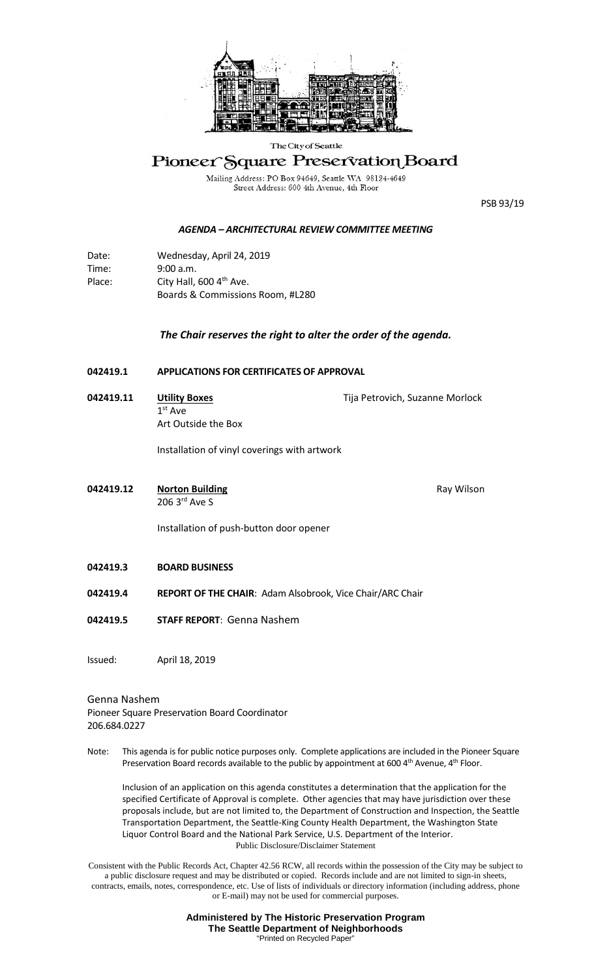

### The City of Seattle

# Pioneer Square Preservation Board

Mailing Address: PO Box 94649, Seattle WA 98124-4649<br>Street Address: 600 4th Avenue, 4th Floor

PSB 93/19

### *AGENDA – ARCHITECTURAL REVIEW COMMITTEE MEETING*

Date: Wednesday, April 24, 2019 Time: 9:00 a.m. Place: City Hall, 600 4<sup>th</sup> Ave. Boards & Commissions Room, #L280

## *The Chair reserves the right to alter the order of the agenda.*

- **042419.1 APPLICATIONS FOR CERTIFICATES OF APPROVAL**
- **042419.11 Utility Boxes** Tija Petrovich, Suzanne Morlock 1st Ave Art Outside the Box

Installation of vinyl coverings with artwork

**042419.12 •• Norton Building Ray Wilson** Ray Wilson 206 3rd Ave S

Installation of push-button door opener

- **042419.3 BOARD BUSINESS**
- **042419.4 REPORT OF THE CHAIR**: Adam Alsobrook, Vice Chair/ARC Chair
- **042419.5 STAFF REPORT**: Genna Nashem

Issued: April 18, 2019

#### Genna Nashem

Pioneer Square Preservation Board Coordinator 206.684.0227

Note: This agenda is for public notice purposes only. Complete applications are included in the Pioneer Square Preservation Board records available to the public by appointment at 600 4<sup>th</sup> Avenue, 4<sup>th</sup> Floor.

Public Disclosure/Disclaimer Statement Inclusion of an application on this agenda constitutes a determination that the application for the specified Certificate of Approval is complete. Other agencies that may have jurisdiction over these proposals include, but are not limited to, the Department of Construction and Inspection, the Seattle Transportation Department, the Seattle-King County Health Department, the Washington State Liquor Control Board and the National Park Service, U.S. Department of the Interior.

Consistent with the Public Records Act, Chapter 42.56 RCW, all records within the possession of the City may be subject to a public disclosure request and may be distributed or copied. Records include and are not limited to sign-in sheets, contracts, emails, notes, correspondence, etc. Use of lists of individuals or directory information (including address, phone or E-mail) may not be used for commercial purposes.

> **Administered by The Historic Preservation Program The Seattle Department of Neighborhoods** "Printed on Recycled Paper"